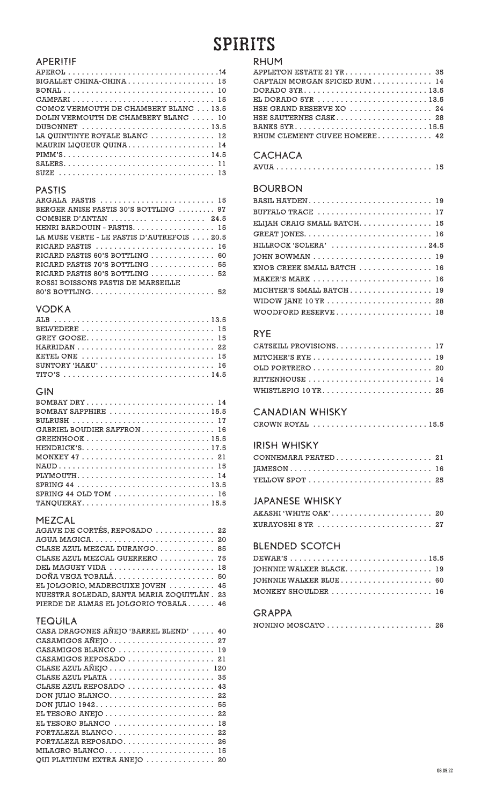# **SPIRITS**

#### APERITIF

| BIGALLET CHINA-CHINA 15               |
|---------------------------------------|
|                                       |
|                                       |
| COMOZ VERMOUTH DE CHAMBERY BLANC 13.5 |
| DOLIN VERMOUTH DE CHAMBERY BLANC  10  |
|                                       |
| LA QUINTINYE ROYALE BLANC  12         |
| MAURIN LIQUEUR QUINA 14               |
| PIMM'S14.5                            |
|                                       |
|                                       |

#### PASTIS

### VODKA

| BELVEDERE  15                                                                 |  |
|-------------------------------------------------------------------------------|--|
|                                                                               |  |
| HARRIDAN 22                                                                   |  |
| KETEL ONE $\ldots \ldots \ldots \ldots \ldots \ldots \ldots \ldots \ldots 15$ |  |
| SUNTORY 'HAKU' 16                                                             |  |
|                                                                               |  |

## GIN

| BOMBAY DRY 14                                                           |
|-------------------------------------------------------------------------|
| BOMBAY SAPPHIRE $\ldots \ldots \ldots \ldots \ldots \ldots \ldots 15.5$ |
|                                                                         |
| GABRIEL BOUDIER SAFFRON 16                                              |
| $GREENHOOK$ 15.5                                                        |
|                                                                         |
|                                                                         |
|                                                                         |
| PLYMOUTH 14                                                             |
|                                                                         |
| SPRING 44 OLD TOM $\ldots \ldots \ldots \ldots \ldots \ldots \ldots$    |
| TANQUERAY15.5                                                           |

#### MEZCAL

| AGAVE DE CORTÉS, REPOSADO  22              |  |
|--------------------------------------------|--|
|                                            |  |
| CLASE AZUL MEZCAL DURANGO 85               |  |
| CLASE AZUL MEZCAL GUERRERO  75             |  |
| DEL MAGUEY VIDA  18                        |  |
|                                            |  |
| EL JOLGORIO, MADRECUIXE JOVEN  45          |  |
| NUESTRA SOLEDAD, SANTA MARIA ZOQUITLÁN. 23 |  |
| PIERDE DE ALMAS EL JOLGORIO TOBALA 46      |  |

#### TEQUILA

| CASA DRAGONES AÑEJO 'BARREL BLEND'  40                                |
|-----------------------------------------------------------------------|
| CASAMIGOS AÑEJO 27                                                    |
| CASAMIGOS BLANCO  19                                                  |
| CASAMIGOS REPOSADO  21                                                |
|                                                                       |
|                                                                       |
| CLASE AZUL REPOSADO  43                                               |
| DON JULIO BLANCO 22                                                   |
|                                                                       |
| EL TESORO ANEJO $\ldots \ldots \ldots \ldots \ldots \ldots \ldots$ 22 |
| EL TESORO BLANCO  18                                                  |
| FORTALEZA BLANCO 22                                                   |
| FORTALEZA REPOSADO 26                                                 |
| MILAGRO BLANCO 15                                                     |
| QUI PLATINUM EXTRA ANEJO  20                                          |

#### RHUM

| APPLETON ESTATE 21 YR 35                                                |
|-------------------------------------------------------------------------|
| CAPTAIN MORGAN SPICED RUM 14                                            |
|                                                                         |
| EL DORADO 5YR $\ldots \ldots \ldots \ldots \ldots \ldots \ldots$ . 13.5 |
| HSE GRAND RESERVE XO  24                                                |
| HSE SAUTERNES CASK 28                                                   |
|                                                                         |
| RHUM CLEMENT CUVEE HOMERE 42                                            |

## CACHACA

|--|--|--|--|--|--|--|--|--|--|--|--|--|--|--|--|--|--|--|--|--|--|--|--|--|--|--|--|--|--|--|--|--|--|--|

## BOURBON

| BUFFALO TRACE  17                                                 |  |
|-------------------------------------------------------------------|--|
| ELIJAH CRAIG SMALL BATCH 15                                       |  |
|                                                                   |  |
| HILLROCK 'SOLERA' 24.5                                            |  |
|                                                                   |  |
| KNOB CREEK SMALL BATCH  16                                        |  |
|                                                                   |  |
| MICHTER'S SMALL BATCH 19                                          |  |
| WIDOW JANE $10$ YR $\ldots \ldots \ldots \ldots \ldots \ldots$ 28 |  |
| WOODFORD RESERVE  18                                              |  |

## RYE

| CATSKILL PROVISIONS 17 |  |
|------------------------|--|
| MITCHER'S RYE  19      |  |
|                        |  |
| RITTENHOUSE  14        |  |
|                        |  |

## CANADIAN WHISKY

| CROWN ROYAL $\ldots \ldots \ldots \ldots \ldots \ldots \ldots \ldots 15.5$ |  |  |  |  |  |  |  |  |  |
|----------------------------------------------------------------------------|--|--|--|--|--|--|--|--|--|
|----------------------------------------------------------------------------|--|--|--|--|--|--|--|--|--|

## IRISH WHISKY

| JAMESON 16 |  |
|------------|--|
|            |  |

#### JAPANESE WHISKY

| AKASHI 'WHITE OAK' 20                                             |  |  |  |  |  |  |  |  |  |  |  |
|-------------------------------------------------------------------|--|--|--|--|--|--|--|--|--|--|--|
| KURAYOSHI 8 YR $\dots\dots\dots\dots\dots\dots\dots\dots\dots$ 27 |  |  |  |  |  |  |  |  |  |  |  |

## BLENDED SCOTCH

| JOHNNIE WALKER BLACK 19 |  |
|-------------------------|--|
| JOHNNIE WALKER BLUE  60 |  |
| MONKEY SHOULDER  16     |  |

#### GRAPPA

| NONINO MOSCATO $\ldots \ldots \ldots \ldots \ldots \ldots \ldots$ 26 |  |  |  |  |  |  |  |  |  |  |  |  |
|----------------------------------------------------------------------|--|--|--|--|--|--|--|--|--|--|--|--|